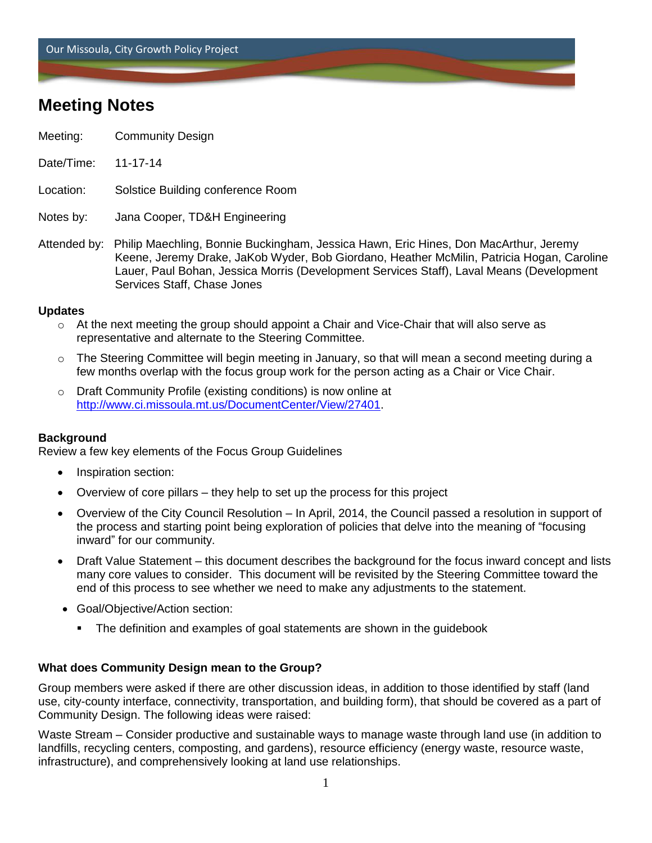Our Missoula, City Growth Policy Project

# **Meeting Notes**

- Meeting: Community Design
- Date/Time: 11-17-14

Location: Solstice Building conference Room

Notes by: Jana Cooper, TD&H Engineering

Attended by: Philip Maechling, Bonnie Buckingham, Jessica Hawn, Eric Hines, Don MacArthur, Jeremy Keene, Jeremy Drake, JaKob Wyder, Bob Giordano, Heather McMilin, Patricia Hogan, Caroline Lauer, Paul Bohan, Jessica Morris (Development Services Staff), Laval Means (Development Services Staff, Chase Jones

#### **Updates**

- $\circ$  At the next meeting the group should appoint a Chair and Vice-Chair that will also serve as representative and alternate to the Steering Committee.
- $\circ$  The Steering Committee will begin meeting in January, so that will mean a second meeting during a few months overlap with the focus group work for the person acting as a Chair or Vice Chair.
- o Draft Community Profile (existing conditions) is now online at [http://www.ci.missoula.mt.us/DocumentCenter/View/27401.](http://www.ci.missoula.mt.us/DocumentCenter/View/27401)

## **Background**

Review a few key elements of the Focus Group Guidelines

- Inspiration section:
- Overview of core pillars they help to set up the process for this project
- Overview of the City Council Resolution In April, 2014, the Council passed a resolution in support of the process and starting point being exploration of policies that delve into the meaning of "focusing inward" for our community.
- Draft Value Statement this document describes the background for the focus inward concept and lists many core values to consider. This document will be revisited by the Steering Committee toward the end of this process to see whether we need to make any adjustments to the statement.
- Goal/Objective/Action section:
	- The definition and examples of goal statements are shown in the guidebook

## **What does Community Design mean to the Group?**

Group members were asked if there are other discussion ideas, in addition to those identified by staff (land use, city-county interface, connectivity, transportation, and building form), that should be covered as a part of Community Design. The following ideas were raised:

Waste Stream – Consider productive and sustainable ways to manage waste through land use (in addition to landfills, recycling centers, composting, and gardens), resource efficiency (energy waste, resource waste, infrastructure), and comprehensively looking at land use relationships.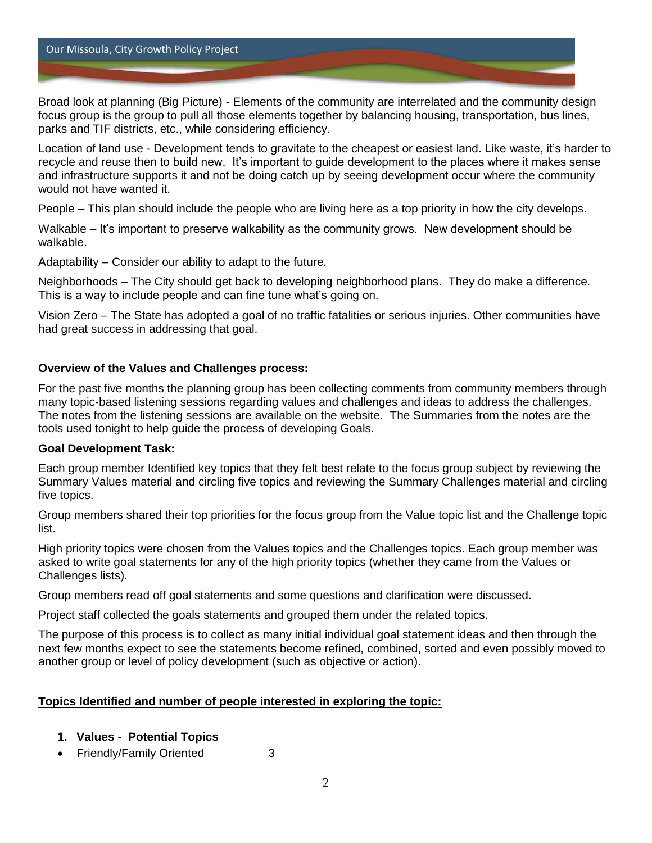Our Missoula, City Growth Policy Project

Broad look at planning (Big Picture) - Elements of the community are interrelated and the community design focus group is the group to pull all those elements together by balancing housing, transportation, bus lines, parks and TIF districts, etc., while considering efficiency.

Location of land use - Development tends to gravitate to the cheapest or easiest land. Like waste, it's harder to recycle and reuse then to build new. It's important to guide development to the places where it makes sense and infrastructure supports it and not be doing catch up by seeing development occur where the community would not have wanted it.

People – This plan should include the people who are living here as a top priority in how the city develops.

Walkable – It's important to preserve walkability as the community grows. New development should be walkable.

Adaptability – Consider our ability to adapt to the future.

Neighborhoods – The City should get back to developing neighborhood plans. They do make a difference. This is a way to include people and can fine tune what's going on.

Vision Zero – The State has adopted a goal of no traffic fatalities or serious injuries. Other communities have had great success in addressing that goal.

#### **Overview of the Values and Challenges process:**

For the past five months the planning group has been collecting comments from community members through many topic-based listening sessions regarding values and challenges and ideas to address the challenges. The notes from the listening sessions are available on the website. The Summaries from the notes are the tools used tonight to help guide the process of developing Goals.

#### **Goal Development Task:**

Each group member Identified key topics that they felt best relate to the focus group subject by reviewing the Summary Values material and circling five topics and reviewing the Summary Challenges material and circling five topics.

Group members shared their top priorities for the focus group from the Value topic list and the Challenge topic list.

High priority topics were chosen from the Values topics and the Challenges topics. Each group member was asked to write goal statements for any of the high priority topics (whether they came from the Values or Challenges lists).

Group members read off goal statements and some questions and clarification were discussed.

Project staff collected the goals statements and grouped them under the related topics.

The purpose of this process is to collect as many initial individual goal statement ideas and then through the next few months expect to see the statements become refined, combined, sorted and even possibly moved to another group or level of policy development (such as objective or action).

## **Topics Identified and number of people interested in exploring the topic:**

#### **1. Values - Potential Topics**

Friendly/Family Oriented 3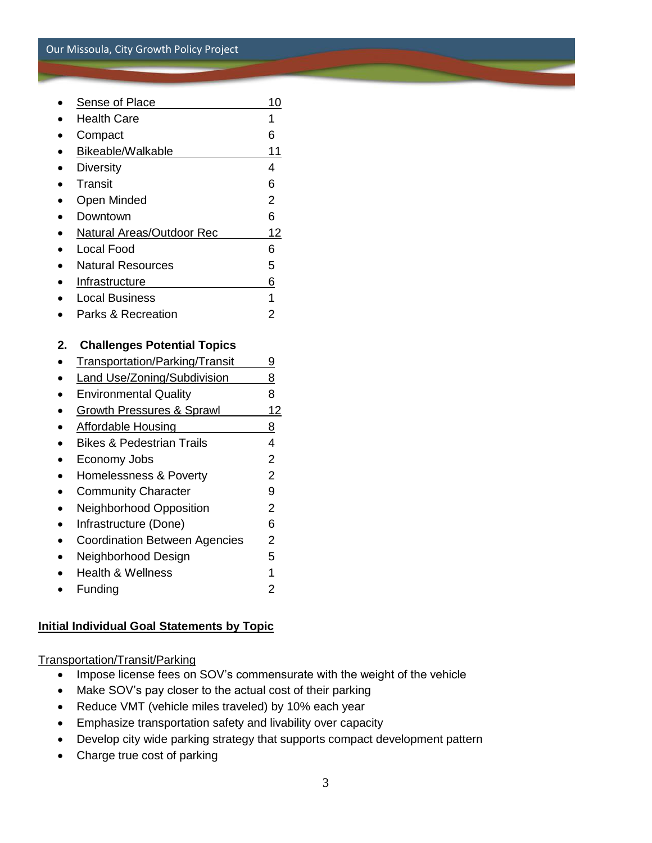|    | <b>Sense of Place</b>                | 10             |
|----|--------------------------------------|----------------|
|    | <b>Health Care</b>                   | 1              |
|    | Compact                              | 6              |
|    | Bikeable/Walkable                    | 11             |
|    | <b>Diversity</b>                     | 4              |
|    | <b>Transit</b>                       | 6              |
|    | Open Minded                          | $\overline{2}$ |
|    | Downtown                             | 6              |
|    | <b>Natural Areas/Outdoor Rec</b>     | 12             |
|    | <b>Local Food</b>                    | 6              |
|    | <b>Natural Resources</b>             | 5              |
|    | Infrastructure                       | 6              |
|    | <b>Local Business</b>                | 1              |
|    | Parks & Recreation                   | $\overline{2}$ |
|    |                                      |                |
| 2. | <b>Challenges Potential Topics</b>   |                |
|    | Transportation/Parking/Transit       | <u>9</u>       |
|    | <b>Land Use/Zoning/Subdivision</b>   | 8              |
|    | <b>Environmental Quality</b>         | 8              |
|    | <b>Growth Pressures &amp; Sprawl</b> | 12             |
|    | <b>Affordable Housing</b>            | 8              |
|    | <b>Bikes &amp; Pedestrian Trails</b> | 4              |
|    | Economy Jobs                         | $\overline{2}$ |
|    | <b>Homelessness &amp; Poverty</b>    | $\overline{2}$ |
|    | <b>Community Character</b>           | 9              |
|    | Neighborhood Opposition              | $\overline{2}$ |
|    | Infrastructure (Done)                | 6              |
|    | <b>Coordination Between Agencies</b> | $\overline{2}$ |
|    | Neighborhood Design                  | 5              |
|    | <b>Health &amp; Wellness</b>         | $\overline{1}$ |
|    | Funding                              | $\overline{2}$ |
|    |                                      |                |

## **Initial Individual Goal Statements by Topic**

Transportation/Transit/Parking

- Impose license fees on SOV's commensurate with the weight of the vehicle
- Make SOV's pay closer to the actual cost of their parking
- Reduce VMT (vehicle miles traveled) by 10% each year
- Emphasize transportation safety and livability over capacity
- Develop city wide parking strategy that supports compact development pattern
- Charge true cost of parking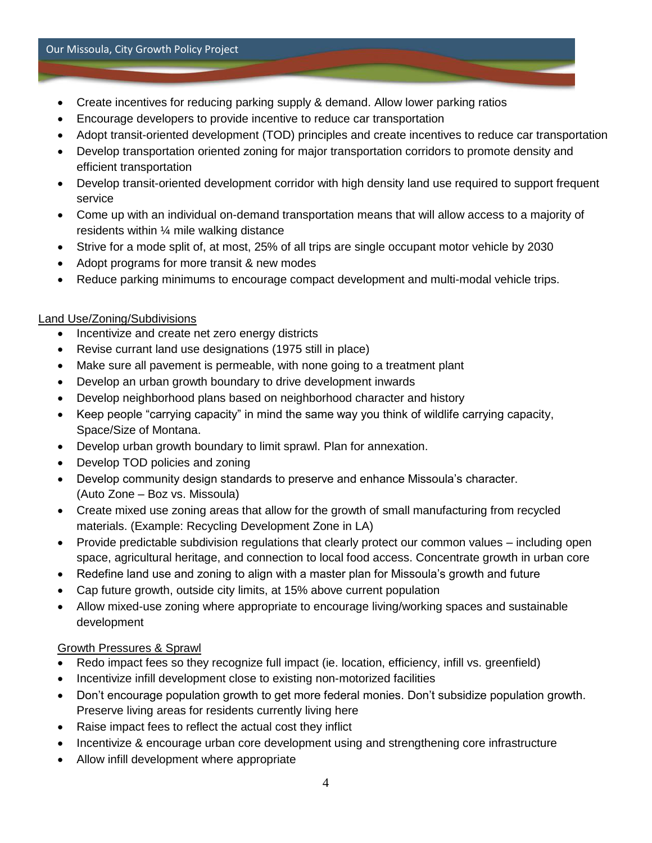- Create incentives for reducing parking supply & demand. Allow lower parking ratios
- Encourage developers to provide incentive to reduce car transportation
- Adopt transit-oriented development (TOD) principles and create incentives to reduce car transportation
- Develop transportation oriented zoning for major transportation corridors to promote density and efficient transportation
- Develop transit-oriented development corridor with high density land use required to support frequent service
- Come up with an individual on-demand transportation means that will allow access to a majority of residents within ¼ mile walking distance
- Strive for a mode split of, at most, 25% of all trips are single occupant motor vehicle by 2030
- Adopt programs for more transit & new modes
- Reduce parking minimums to encourage compact development and multi-modal vehicle trips.

## Land Use/Zoning/Subdivisions

- Incentivize and create net zero energy districts
- Revise currant land use designations (1975 still in place)
- Make sure all pavement is permeable, with none going to a treatment plant
- Develop an urban growth boundary to drive development inwards
- Develop neighborhood plans based on neighborhood character and history
- Keep people "carrying capacity" in mind the same way you think of wildlife carrying capacity, Space/Size of Montana.
- Develop urban growth boundary to limit sprawl. Plan for annexation.
- Develop TOD policies and zoning
- Develop community design standards to preserve and enhance Missoula's character. (Auto Zone – Boz vs. Missoula)
- Create mixed use zoning areas that allow for the growth of small manufacturing from recycled materials. (Example: Recycling Development Zone in LA)
- Provide predictable subdivision regulations that clearly protect our common values including open space, agricultural heritage, and connection to local food access. Concentrate growth in urban core
- Redefine land use and zoning to align with a master plan for Missoula's growth and future
- Cap future growth, outside city limits, at 15% above current population
- Allow mixed-use zoning where appropriate to encourage living/working spaces and sustainable development

## Growth Pressures & Sprawl

- Redo impact fees so they recognize full impact (ie. location, efficiency, infill vs. greenfield)
- Incentivize infill development close to existing non-motorized facilities
- Don't encourage population growth to get more federal monies. Don't subsidize population growth. Preserve living areas for residents currently living here
- Raise impact fees to reflect the actual cost they inflict
- Incentivize & encourage urban core development using and strengthening core infrastructure
- Allow infill development where appropriate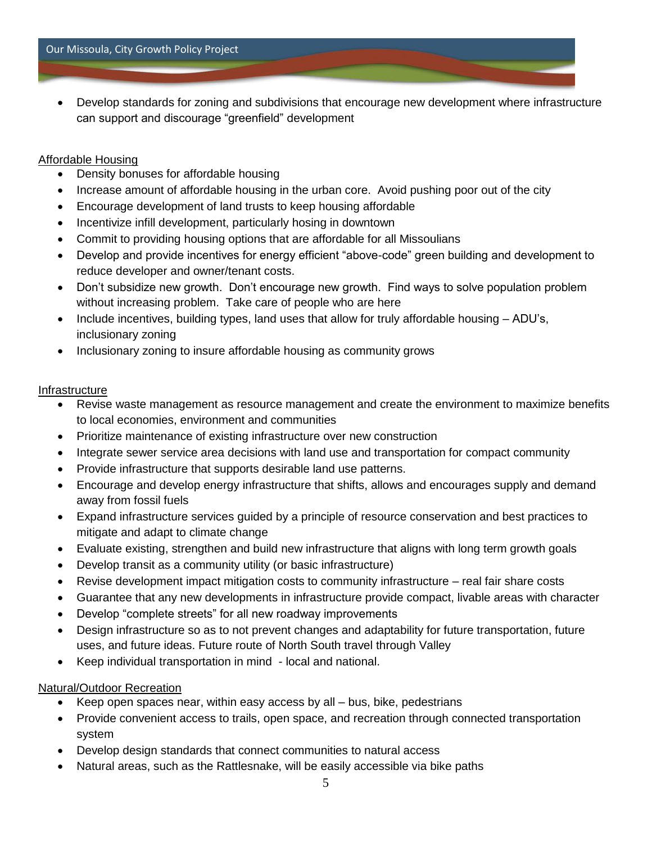Develop standards for zoning and subdivisions that encourage new development where infrastructure can support and discourage "greenfield" development

#### Affordable Housing

- Density bonuses for affordable housing
- Increase amount of affordable housing in the urban core. Avoid pushing poor out of the city
- Encourage development of land trusts to keep housing affordable
- Incentivize infill development, particularly hosing in downtown
- Commit to providing housing options that are affordable for all Missoulians
- Develop and provide incentives for energy efficient "above-code" green building and development to reduce developer and owner/tenant costs.
- Don't subsidize new growth. Don't encourage new growth. Find ways to solve population problem without increasing problem. Take care of people who are here
- Include incentives, building types, land uses that allow for truly affordable housing ADU's, inclusionary zoning
- Inclusionary zoning to insure affordable housing as community grows

#### **Infrastructure**

- Revise waste management as resource management and create the environment to maximize benefits to local economies, environment and communities
- Prioritize maintenance of existing infrastructure over new construction
- Integrate sewer service area decisions with land use and transportation for compact community
- Provide infrastructure that supports desirable land use patterns.
- Encourage and develop energy infrastructure that shifts, allows and encourages supply and demand away from fossil fuels
- Expand infrastructure services guided by a principle of resource conservation and best practices to mitigate and adapt to climate change
- Evaluate existing, strengthen and build new infrastructure that aligns with long term growth goals
- Develop transit as a community utility (or basic infrastructure)
- Revise development impact mitigation costs to community infrastructure real fair share costs
- Guarantee that any new developments in infrastructure provide compact, livable areas with character
- Develop "complete streets" for all new roadway improvements
- Design infrastructure so as to not prevent changes and adaptability for future transportation, future uses, and future ideas. Future route of North South travel through Valley
- Keep individual transportation in mind local and national.

## Natural/Outdoor Recreation

- Keep open spaces near, within easy access by all bus, bike, pedestrians
- Provide convenient access to trails, open space, and recreation through connected transportation system
- Develop design standards that connect communities to natural access
- Natural areas, such as the Rattlesnake, will be easily accessible via bike paths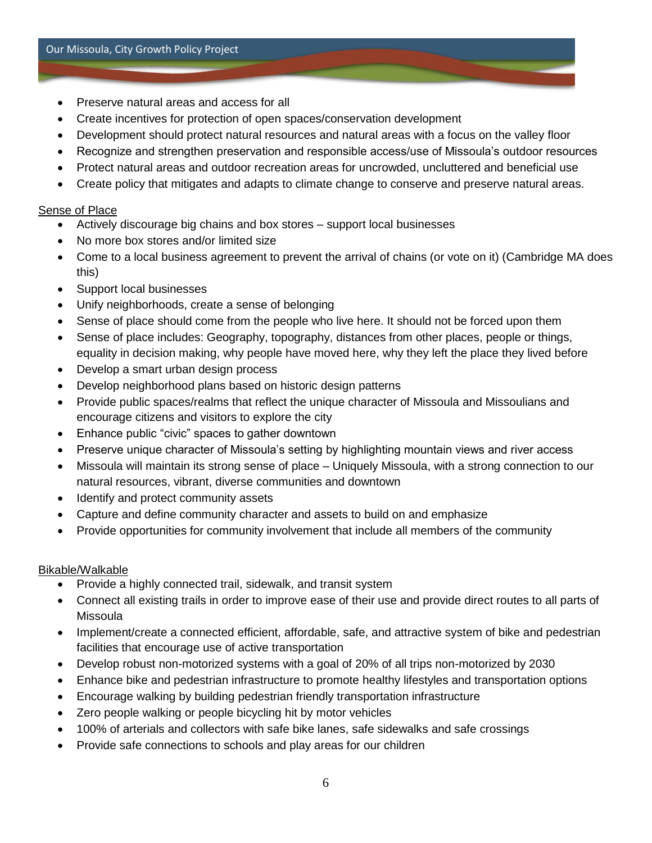- Preserve natural areas and access for all
- Create incentives for protection of open spaces/conservation development
- Development should protect natural resources and natural areas with a focus on the valley floor
- Recognize and strengthen preservation and responsible access/use of Missoula's outdoor resources
- Protect natural areas and outdoor recreation areas for uncrowded, uncluttered and beneficial use
- Create policy that mitigates and adapts to climate change to conserve and preserve natural areas.

#### Sense of Place

- Actively discourage big chains and box stores support local businesses
- No more box stores and/or limited size
- Come to a local business agreement to prevent the arrival of chains (or vote on it) (Cambridge MA does this)
- Support local businesses
- Unify neighborhoods, create a sense of belonging
- Sense of place should come from the people who live here. It should not be forced upon them
- Sense of place includes: Geography, topography, distances from other places, people or things, equality in decision making, why people have moved here, why they left the place they lived before
- Develop a smart urban design process
- Develop neighborhood plans based on historic design patterns
- Provide public spaces/realms that reflect the unique character of Missoula and Missoulians and encourage citizens and visitors to explore the city
- Enhance public "civic" spaces to gather downtown
- Preserve unique character of Missoula's setting by highlighting mountain views and river access
- Missoula will maintain its strong sense of place Uniquely Missoula, with a strong connection to our natural resources, vibrant, diverse communities and downtown
- Identify and protect community assets
- Capture and define community character and assets to build on and emphasize
- Provide opportunities for community involvement that include all members of the community

#### Bikable/Walkable

- Provide a highly connected trail, sidewalk, and transit system
- Connect all existing trails in order to improve ease of their use and provide direct routes to all parts of Missoula
- Implement/create a connected efficient, affordable, safe, and attractive system of bike and pedestrian facilities that encourage use of active transportation
- Develop robust non-motorized systems with a goal of 20% of all trips non-motorized by 2030
- Enhance bike and pedestrian infrastructure to promote healthy lifestyles and transportation options
- Encourage walking by building pedestrian friendly transportation infrastructure
- Zero people walking or people bicycling hit by motor vehicles
- 100% of arterials and collectors with safe bike lanes, safe sidewalks and safe crossings
- Provide safe connections to schools and play areas for our children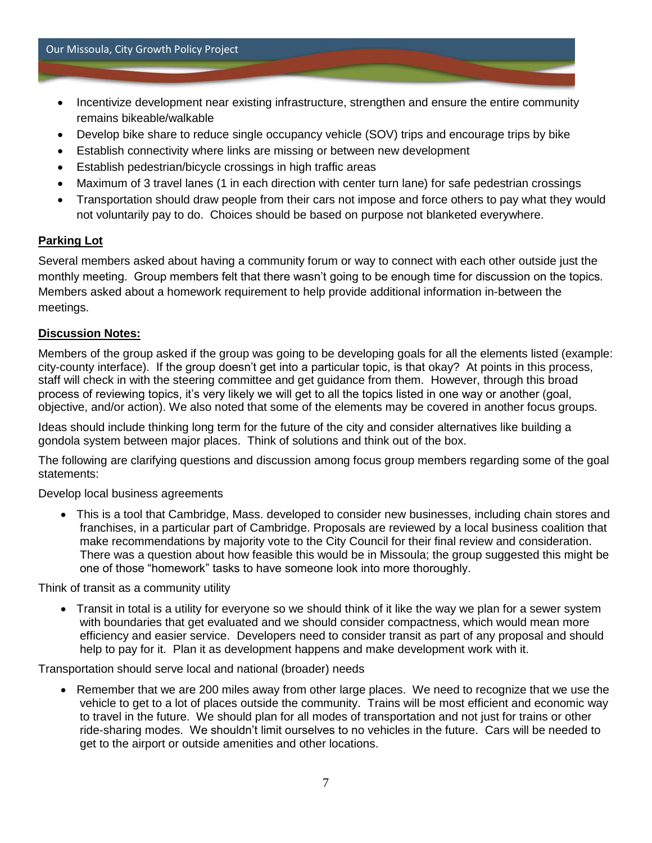- Incentivize development near existing infrastructure, strengthen and ensure the entire community remains bikeable/walkable
- Develop bike share to reduce single occupancy vehicle (SOV) trips and encourage trips by bike
- Establish connectivity where links are missing or between new development
- Establish pedestrian/bicycle crossings in high traffic areas
- Maximum of 3 travel lanes (1 in each direction with center turn lane) for safe pedestrian crossings
- Transportation should draw people from their cars not impose and force others to pay what they would not voluntarily pay to do. Choices should be based on purpose not blanketed everywhere.

#### **Parking Lot**

Several members asked about having a community forum or way to connect with each other outside just the monthly meeting. Group members felt that there wasn't going to be enough time for discussion on the topics. Members asked about a homework requirement to help provide additional information in-between the meetings.

#### **Discussion Notes:**

Members of the group asked if the group was going to be developing goals for all the elements listed (example: city-county interface). If the group doesn't get into a particular topic, is that okay? At points in this process, staff will check in with the steering committee and get guidance from them. However, through this broad process of reviewing topics, it's very likely we will get to all the topics listed in one way or another (goal, objective, and/or action). We also noted that some of the elements may be covered in another focus groups.

Ideas should include thinking long term for the future of the city and consider alternatives like building a gondola system between major places. Think of solutions and think out of the box.

The following are clarifying questions and discussion among focus group members regarding some of the goal statements:

#### Develop local business agreements

 This is a tool that Cambridge, Mass. developed to consider new businesses, including chain stores and franchises, in a particular part of Cambridge. Proposals are reviewed by a local business coalition that make recommendations by majority vote to the City Council for their final review and consideration. There was a question about how feasible this would be in Missoula; the group suggested this might be one of those "homework" tasks to have someone look into more thoroughly.

Think of transit as a community utility

 Transit in total is a utility for everyone so we should think of it like the way we plan for a sewer system with boundaries that get evaluated and we should consider compactness, which would mean more efficiency and easier service. Developers need to consider transit as part of any proposal and should help to pay for it. Plan it as development happens and make development work with it.

Transportation should serve local and national (broader) needs

 Remember that we are 200 miles away from other large places. We need to recognize that we use the vehicle to get to a lot of places outside the community. Trains will be most efficient and economic way to travel in the future. We should plan for all modes of transportation and not just for trains or other ride-sharing modes. We shouldn't limit ourselves to no vehicles in the future. Cars will be needed to get to the airport or outside amenities and other locations.